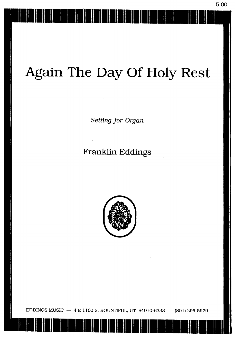# Again The Day Of Holy Rest

Setting for Organ

### Franklin Eddings



EDDINGS MUSIC  $-4$  E 1100 S, BOUNTIFUL, UT 84010-6333 - (801) 295-5979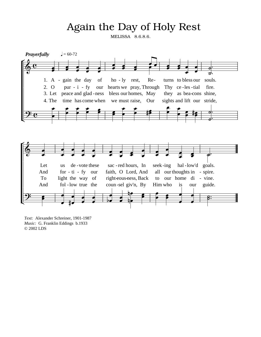### Again the Day of Holy Rest

MELISSA 8.6.8.6.



*Text:* Alexander Schreiner, 1901-1987 *Music:* G. Franklin Eddings b.1933 © 2002 LDS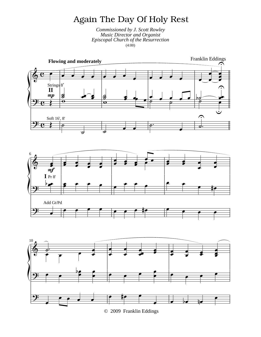## Again The Day Of Holy Rest

Commissioned by J. Scott Rowley **Music Director and Organist** Episcopal Church of the Resurrection  $(4:00)$ 







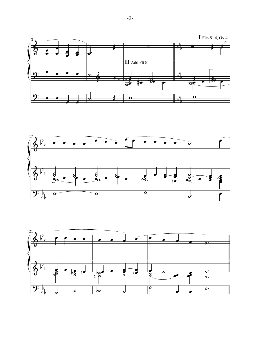



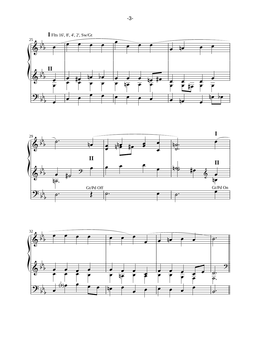



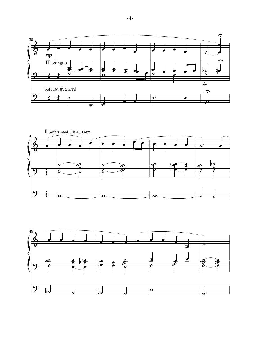



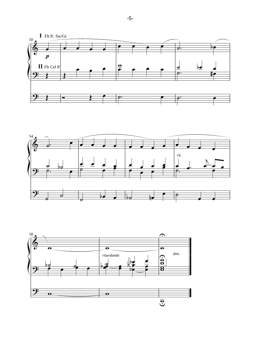